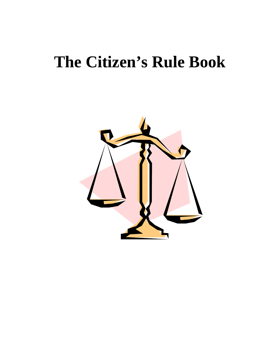# **The Citizen's Rule Book**

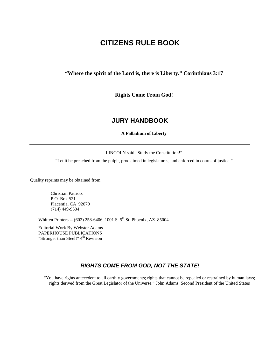# **CITIZENS RULE BOOK**

#### **"Where the spirit of the Lord is, there is Liberty." Corinthians 3:17**

**Rights Come From God!**

# **JURY HANDBOOK**

**A Palladium of Liberty**

LINCOLN said "Study the Constitution!"

"Let it be preached from the pulpit, proclaimed in legislatures, and enforced in courts of justice."

Quality reprints may be obtained from:

 Christian Patriots P.O. Box 521 Placentia, CA 92670 (714) 449-9504

Whitten Printers -- (602) 258-6406, 1001 S. 5<sup>th</sup> St, Phoenix, AZ 85004

Editorial Work By Webster Adams PAPERHOUSE PUBLICATIONS "Stronger than Steel!" 4<sup>th</sup> Revision

# *RIGHTS COME FROM GOD, NOT THE STATE!*

"You have rights antecedent to all earthly governments; rights that cannot be repealed or restrained by human laws; rights derived from the Great Legislator of the Universe." John Adams, Second President of the United States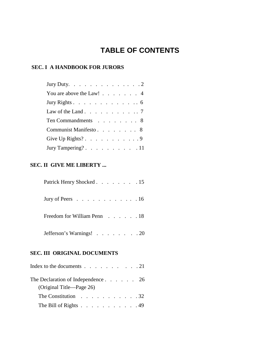# **TABLE OF CONTENTS**

# **SEC. I A HANDBOOK FOR JURORS**

| Jury Duty. $\ldots$ 2                                 |
|-------------------------------------------------------|
| You are above the Law! 4                              |
| Jury Rights 6                                         |
| Law of the Land $\ldots$ $\ldots$ $\ldots$ $\ldots$ 7 |
| Ten Commandments 8                                    |
| Communist Manifesto. 8                                |
| Give Up Rights? 9                                     |
| Jury Tampering?. 11                                   |

# **SEC. II GIVE ME LIBERTY ...**

| Patrick Henry Shocked 15                                      |  |
|---------------------------------------------------------------|--|
| Jury of Peers $\ldots$ $\ldots$ $\ldots$ $\ldots$ $\ldots$ 16 |  |
| Freedom for William Penn 18                                   |  |
| Jefferson's Warnings! 20                                      |  |

# **SEC. III ORIGINAL DOCUMENTS**

| Index to the documents 21                                        |  |  |
|------------------------------------------------------------------|--|--|
| The Declaration of Independence 26                               |  |  |
| (Original Title—Page 26)                                         |  |  |
| The Constitution $\ldots$ $\ldots$ $\ldots$ $\ldots$ $\ldots$ 32 |  |  |
| The Bill of Rights $\ldots$ $\ldots$ $\ldots$ $\ldots$ . 49      |  |  |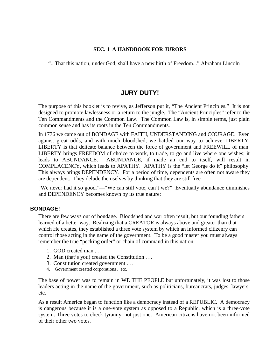#### **SEC. 1 A HANDBOOK FOR JURORS**

"...That this nation, under God, shall have a new birth of Freedom..." Abraham Lincoln

# **JURY DUTY!**

The purpose of this booklet is to revive, as Jefferson put it, "The Ancient Principles." It is not designed to promote lawlessness or a return to the jungle. The "Ancient Principles" refer to the Ten Commandments and the Common Law. The Common Law is, in simple terms, just plain common sense and has its roots in the Ten Commandments.

In 1776 we came out of BONDAGE with FAITH, UNDERSTANDING and COURAGE. Even against great odds, and with much bloodshed, we battled our way to achieve LIBERTY. LIBERTY is that delicate balance between the force of government and FREEWILL of man. LIBERTY brings FREEDOM of choice to work, to trade, to go and live where one wishes; it leads to ABUNDANCE. ABUNDANCE, if made an end to itself, will result in COMPLACENCY, which leads to APATHY. APATHY is the "let George do it" philosophy. This always brings DEPENDENCY. For a period of time, dependents are often not aware they are dependent. They delude themselves by thinking that they are still free—

"We never had it so good."—"We can still vote, can't we?" Eventually abundance diminishes and DEPENDENCY becomes known by its true nature:

#### **BONDAGE!**

There are few ways out of bondage. Bloodshed and war often result, but our founding fathers learned of a better way. Realizing that a CREATOR is always above and greater than that which He creates, they established a three vote system by which an informed citizenry can control those acting in the name of the government. To be a good master you must always remember the true "pecking order" or chain of command in this nation:

- 1. GOD created man . . .
- 2. Man (that's you) created the Constitution . . .
- 3. Constitution created government . . .
- 4. Government created corporations . .etc.

The base of power was to remain in WE THE PEOPLE but unfortunately, it was lost to those leaders acting in the name of the government, such as politicians, bureaucrats, judges, lawyers, etc.

As a result America began to function like a democracy instead of a REPUBLIC. A democracy is dangerous because it is a one-vote system as opposed to a Republic, which is a three-vote system: Three votes to check tyranny, not just one. American citizens have not been informed of their other two votes.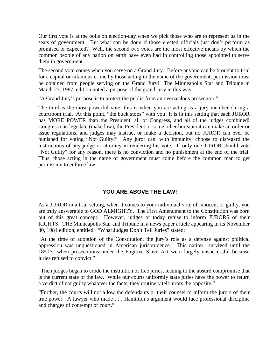Our first vote is at the polls on election-day when we pick those who are to represent us in the seats of government. But what can be done if those elected officials just don't perform as promised or expected? Well, the second two votes are the most effective means by which the common people of any nation on earth have even had in controlling those appointed to serve them in government.

The second vote comes when you serve on a Grand Jury. Before anyone can be brought to trial for a capital or infamous crime by those acting in the name of the government, permission must be obtained from people serving on the Grand Jury! The Minneapolis Star and Tribune in March 27, 1987, edition noted a purpose of the grand Jury in this way:

"A Grand Jury's purpose is to protect the public from an overzealous prosecutor."

The third is the most powerful vote: this is when you are acting as a jury member during a courtroom trial. At this point, "the buck stops" with you! It is in this setting that each JUROR has MORE POWER than the President, all of Congress, and all of the judges combined! Congress can legislate (make law), the President or some other bureaucrat can make an order or issue regulations, and judges may instruct or make a decision, but no JUROR can ever be punished for voting "Not Guilty!" Any juror can, with impunity, choose to disregard the instructions of any judge or attorney in rendering his vote. If only one JUROR should vote "Not Guilty" for any reason, there is no conviction and no punishment at the end of the trial. Thus, those acting in the name of government must come before the common man to get permission to enforce law.

# **YOU ARE ABOVE THE LAW!**

As a JUROR in a trial setting, when it comes to your individual vote of innocent or guilty, you are truly answerable to GOD ALMIGHTY. The First Amendment to the Constitution was born out of this great concept. However, judges of today refuse to inform JURORS of their RIGHTS. THe Minneapolis Star and Tribune in a news paper article appearing in its November 30, 1984 edition, entitled: "What Judges Don't Tell Juries" stated:

"At the time of adoption of the Constitution, the jury's role as a defense against political oppression was unquestioned in American jurisprudence. This nation survived until the 1850's, when prosecutions under the Fugitive Slave Act were largely unsuccessful because juries refused to convict."

"Then judges began to erode the institution of free juries, leading to the absurd compromise that is the current state of the law. While our courts uniformly state juries have the power to return a verdict of not guilty whatever the facts, they routinely tell jurors the opposite."

"Further, the courts will not allow the defendants or their counsel to inform the jurors of their true power. A lawyer who made . . . Hamilton's argument would face professional discipline and charges of contempt of court."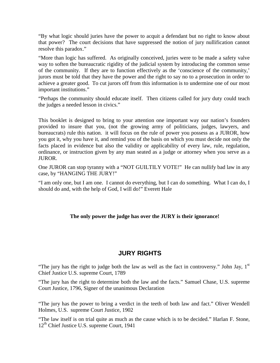"By what logic should juries have the power to acquit a defendant but no right to know about that power? The court decisions that have suppressed the notion of jury nullification cannot resolve this paradox."

"More than logic has suffered. As originally conceived, juries were to be made a safety valve way to soften the bureaucratic rigidity of the judicial system by introducing the common sense of the community. If they are to function effectively as the 'conscience of the community,' jurors must be told that they have the power and the right to say no to a prosecution in order to achieve a greater good. To cut jurors off from this information is to undermine one of our most important institutions."

"Perhaps the community should educate itself. Then citizens called for jury duty could teach the judges a needed lesson in civics."

This booklet is designed to bring to your attention one important way our nation's founders provided to insure that you, (not the growing army of politicians, judges, lawyers, and bureaucrats) rule this nation. it will focus on the rule of power you possess as a JUROR, how you got it, why you have it, and remind you of the basis on which you must decide not only the facts placed in evidence but also the validity or applicability of every law, rule, regulation, ordinance, or instruction given by any man seated as a judge or attorney when you serve as a JUROR.

One JUROR can stop tyranny with a "NOT GUILTILY VOTE!" He can nullify bad law in any case, by "HANGING THE JURY!"

"I am only one, but I am one. I cannot do everything, but I can do something. What I can do, I should do and, with the help of God, I will do!" Everett Hale

# **The only power the judge has over the JURY is their ignorance!**

# **JURY RIGHTS**

"The jury has the right to judge both the law as well as the fact in controversy." John Jay,  $1<sup>st</sup>$ Chief Justice U.S. supreme Court, 1789

"The jury has the right to determine both the law and the facts." Samuel Chase, U.S. supreme Court Justice, 1796, Signer of the unanimous Declaration

"The jury has the power to bring a verdict in the teeth of both law and fact." Oliver Wendell Holmes, U.S. supreme Court Justice, 1902

"The law itself is on trial quite as much as the cause which is to be decided." Harlan F. Stone, 12<sup>th</sup> Chief Justice U.S. supreme Court, 1941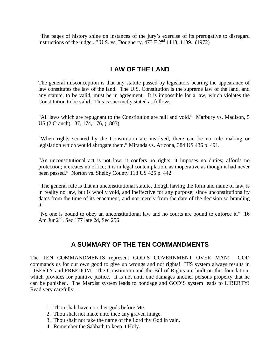"The pages of history shine on instances of the jury's exercise of its prerogative to disregard instructions of the judge..." U.S. vs. Dougherty,  $473 \text{ F } 2^{\text{nd}}$  1113, 1139. (1972)

# **LAW OF THE LAND**

The general misconception is that any statute passed by legislators bearing the appearance of law constitutes the law of the land. The U.S. Constitution is the supreme law of the land, and any statute, to be valid, must be in agreement. It is impossible for a law, which violates the Constitution to be valid. This is succinctly stated as follows:

"All laws which are repugnant to the Constitution are null and void." Marbury vs. Madison, 5 US (2 Cranch) 137, 174, 176, (1803)

"When rights secured by the Constitution are involved, there can be no rule making or legislation which would abrogate them." Miranda vs. Arizona, 384 US 436 p. 491.

"An unconstitutional act is not law; it confers no rights; it imposes no duties; affords no protection; it creates no office; it is in legal contemplation, as inoperative as though it had never been passed." Norton vs. Shelby County 118 US 425 p. 442

"The general rule is that an unconstitutional statute, though having the form and name of law, is in reality no law, but is wholly void, and ineffective for any purpose; since unconstitutionality dates from the time of its enactment, and not merely from the date of the decision so branding it.

"No one is bound to obey an unconstitutional law and no courts are bound to enforce it." 16 Am Jur  $2<sup>nd</sup>$ , Sec 177 late 2d, Sec 256

# **A SUMMARY OF THE TEN COMMANDMENTS**

The TEN COMMANDMENTS represent GOD'S GOVERNMENT OVER MAN! GOD commands us for our own good to give up wrongs and not rights! HIS system always results in LIBERTY and FREEDOM! The Constitution and the Bill of Rights are built on this foundation, which provides for punitive justice. It is not until one damages another persons property that he can be punished. The Marxist system leads to bondage and GOD'S system leads to LIBERTY! Read very carefully:

- 1. Thou shalt have no other gods before Me.
- 2. Thou shalt not make unto thee any graven image.
- 3. Thou shalt not take the name of the Lord thy God in vain.
- 4. Remember the Sabbath to keep it Holy.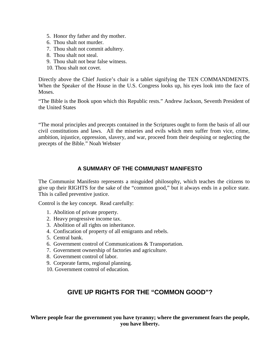- 5. Honor thy father and thy mother.
- 6. Thou shalt not murder.
- 7. Thou shalt not commit adultery.
- 8. Thou shalt not steal.
- 9. Thou shalt not bear false witness.
- 10. Thou shalt not covet.

Directly above the Chief Justice's chair is a tablet signifying the TEN COMMANDMENTS. When the Speaker of the House in the U.S. Congress looks up, his eyes look into the face of Moses.

"The Bible is the Book upon which this Republic rests." Andrew Jackson, Seventh President of the United States

"The moral principles and precepts contained in the Scriptures ought to form the basis of all our civil constitutions and laws. All the miseries and evils which men suffer from vice, crime, ambition, injustice, oppression, slavery, and war, proceed from their despising or neglecting the precepts of the Bible." Noah Webster

# **A SUMMARY OF THE COMMUNIST MANIFESTO**

The Communist Manifesto represents a misguided philosophy, which teaches the citizens to give up their RIGHTS for the sake of the "common good," but it always ends in a police state. This is called preventive justice.

Control is the key concept. Read carefully:

- 1. Abolition of private property.
- 2. Heavy progressive income tax.
- 3. Abolition of all rights on inheritance.
- 4. Confiscation of property of all emigrants and rebels.
- 5. Central bank.
- 6. Government control of Communications & Transportation.
- 7. Government ownership of factories and agriculture.
- 8. Government control of labor.
- 9. Corporate farms, regional planning.
- 10. Government control of education.

# **GIVE UP RIGHTS FOR THE "COMMON GOOD"?**

**Where people fear the government you have tyranny; where the government fears the people, you have liberty.**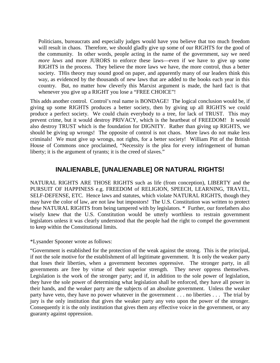Politicians, bureaucrats and especially judges would have you believe that too much freedom will result in chaos. Therefore, we should gladly give up some of our RIGHTS for the good of the community. In other words, people acting in the name of the government, say we need *more laws* and more JURORS to enforce these laws—even if we have to give up some RIGHTS in the process. They believe the more laws we have, the more control, thus a better society. THis theory may sound good on paper, and apparently many of our leaders think this way, as evidenced by the thousands of new laws that are added to the books each year in this country. But, no matter how cleverly this Marxist argument is made, the hard fact is that whenever you give up a RIGHT you lose a "FREE CHOICE"!

This adds another control. Control's real name is BONDAGE! The logical conclusion would be, if giving up some RIGHTS produces a better society, then by giving up all RIGHTS we could produce a perfect society. We could chain everybody to a tree, for lack of TRUST. This may prevent crime, but it would destroy PRIVACY, which is the heartbeat of FREEDOM! It would also destroy TRUST which is the foundation for DIGNITY. Rather than giving up RIGHTS, we should be giving up wrongs! The opposite of control is not chaos. More laws do not make less criminals! We must give up wrongs, not rights, for a better society! William Pitt of the British House of Commons once proclaimed, "Necessity is the plea for every infringement of human liberty; it is the argument of tyrants; it is the creed of slaves."

# **INALIENABLE, [UNALIENABLE] OR NATURAL RIGHTS!**

NATURAL RIGHTS ARE THOSE RIGHTS such as life (from conception), LIBERTY and the PURSUIT OF HAPPINESS e.g. FREEDOM of RELIGION, SPEECH, LEARNING, TRAVEL, SELF-DEFENSE, ETC. Hence laws and statutes, which violate NATURAL RIGHTS, though they may have the color of law, are not law but impostors! The U.S. Constitution was written to protect these NATURAL RIGHTS from being tampered with by legislators. \* Further, our forefathers also wisely knew that the U.S. Constitution would be utterly worthless to restrain government legislators unless it was clearly understood that the people had the right to compel the government to keep within the Constitutional limits.

\*Lysander Spooner wrote as follows:

"Government is established for the protection of the weak against the strong. This is the principal, if not the sole motive for the establishment of all legitimate government. It is only the weaker party that loses their liberties, when a government becomes oppressive. The stronger party, in all governments are free by virtue of their superior strength. They never oppress themselves. Legislation is the work of the stronger party; and if, in addition to the sole power of legislation, they have the sole power of determining what legislation shall be enforced, they have all power in their hands, and the weaker party are the subjects of an absolute government. Unless the weaker party have veto, they have no power whatever in the government . . . no liberties . . . The trial by jury is the only institution that gives the weaker party any veto upon the power of the stronger. Consequently it is the only institution that gives them any effective voice in the government, or any guaranty against oppression.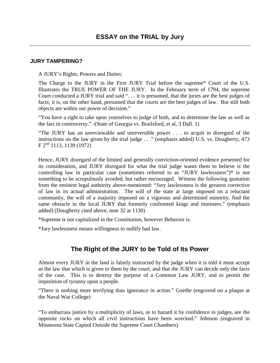# **JURY TAMPERING?**

A JURY's Rights, Powers and Duties:

The Charge to the JURY in the First JURY Trial before the supreme\* Court of the U.S. Illustrates the TRUE POWER OF THE JURY. In the February term of 1794, the supreme Court conducted a JURY trial and said ". . . it is presumed, that the juries are the best judges of facts; it is, on the other hand, presumed that the courts are the best judges of law. But still both objects are within our power of decision."

"You have a right to take upon yourselves to judge of both, and to determine the law as well as the fact in controversy." -(State of Georgia vs. Brailsford, et al, 3 Dall. 1)

"The JURY has an unreviewable and unreversible power . . . to acquit in disregard of the instructions on the law given by the trial judge . . ." (emphasis added) U.S. vs. Dougherty, 473 F 2nd 1113, 1139 (1972)

Hence, JURY disregard of the limited and generally conviction-oriented evidence presented for its consideration, and JURY disregard for what the trial judge wants them to believe is the controlling law in particular case (sometimes referred to as "JURY lawlessness")\* is not something to be scrupulously avoided, but rather encouraged. Witness the following quotation from the eminent legal authority above-mentioned: "Jury lawlessness is the greatest corrective of law in its actual administration. The will of the state at large imposed on a reluctant community, the will of a majority imposed on a vigorous and determined minority, find the same obstacle in the local JURY that formerly confronted kings and ministers." (emphasis added) (Dougherty cited above, note 32 at 1130)

\*Supreme is not capitalized in the Constitution, however Behavior is.

\*Jury lawlessness means willingness to nullify bad law.

# **The Right of the JURY to be Told of Its Power**

Almost every JURY in the land is falsely instructed by the judge when it is told it must accept as the law that which is given to them by the court, and that the JURY can decide only the facts of the case. This is to destroy the purpose of a Common Law JURY, and to permit the imposition of tyranny upon a people.

"There is nothing more terrifying than ignorance in action." Goethe (engraved on a plaque at the Naval War College)

"To embarrass justice by a multiplicity of laws, or to hazard it by confidence in judges, are the opposite rocks on which all civil instructions have been wrecked." Johnson (engraved in Minnesota State Capitol Outside the Supreme Court Chambers)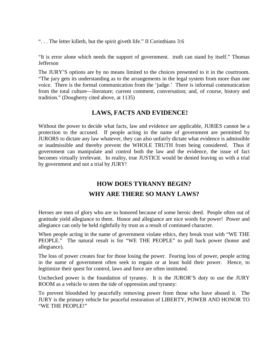". . . The letter killeth, but the spirit giveth life." II Corinthians 3:6

"It is error alone which needs the support of government. truth can stand by itself." Thomas Jefferson

The JURY'S options are by no means limited to the choices presented to it in the courtroom. "The jury gets its understanding as to the arrangements in the legal system from more than one voice. There is the formal communication from the 'judge.' There is informal communication from the total culture—literature; current comment, conversation; and, of course, history and tradition." (Dougherty cited above, at 1135)

# **LAWS, FACTS AND EVIDENCE!**

Without the power to decide what facts, law and evidence are applicable, JURIES cannot be a protection to the accused. If people acting in the name of government are permitted by JURORS to dictate any law whatever, they can also unfairly dictate what evidence is admissible or inadmissible and thereby prevent the WHOLE TRUTH from being considered. Thus if government can manipulate and control both the law and the evidence, the issue of fact becomes virtually irrelevant. In reality, true JUSTICE would be denied leaving us with a trial by government and not a trial by JURY!

# **HOW DOES TYRANNY BEGIN?**

# **WHY ARE THERE SO MANY LAWS?**

Heroes are men of glory who are so honored because of some heroic deed. People often out of gratitude yield allegiance to them. Honor and allegiance are nice words for power! Power and allegiance can only be held rightfully by trust as a result of continued character.

When people acting in the name of government violate ethics, they break trust with "WE THE PEOPLE." The natural result is for "WE THE PEOPLE" to pull back power (honor and allegiance).

The loss of power creates fear for those losing the power. Fearing loss of power, people acting in the name of government often seek to regain or at least hold their power. Hence, to legitimize their quest for control, laws and force are often instituted.

Unchecked power is the foundation of tyranny. It is the JUROR'S duty to use the JURY ROOM as a vehicle to stem the tide of oppression and tyranny:

To prevent bloodshed by peacefully removing power from those who have abused it. The JURY is the primary vehicle for peaceful restoration of LIBERTY, POWER AND HONOR TO "WE THE PEOPLE!"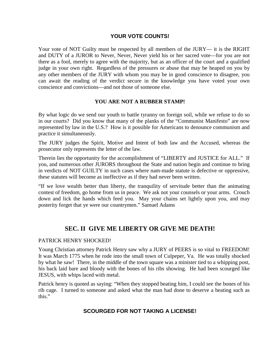# **YOUR VOTE COUNTS!**

Your vote of NOT Guilty must be respected by all members of the JURY— it is the RIGHT and DUTY of a JUROR to Never, Never, Never yield his or her sacred vote—for you are not there as a fool, merely to agree with the majority, but as an officer of the court and a qualified judge in your own right. Regardless of the pressures or abuse that may be heaped on you by any other members of the JURY with whom you may be in good conscience to disagree, you can await the reading of the verdict secure in the knowledge you have voted your own conscience and convictions—and not those of someone else.

# **YOU ARE NOT A RUBBER STAMP!**

By what logic do we send our youth to battle tyranny on foreign soil, while we refuse to do so in our courts? Did you know that many of the planks of the "Communist Manifesto" are now represented by law in the U.S.? How is it possible for Americans to denounce communism and practice it simultaneously.

The JURY judges the Spirit, Motive and Intent of both law and the Accused, whereas the prosecutor only represents the letter of the law.

Therein lies the opportunity for the accomplishment of "LIBERTY and JUSTICE for ALL." If you, and numerous other JURORS throughout the State and nation begin and continue to bring in verdicts of NOT GUILTY in such cases where nam-made statute is defective or oppressive, these statutes will become as ineffective as if they had never been written.

"If we love wealth better than liberty, the tranquility of servitude better than the animating contest of freedom, go home from us in peace. We ask not your counsels or your arms. Crouch down and lick the hands which feed you. May your chains set lightly upon you, and may posterity forget that ye were our countrymen." Samuel Adams

# **SEC. II GIVE ME LIBERTY OR GIVE ME DEATH!**

#### PATRICK HENRY SHOCKED!

Young Christian attorney Patrick Henry saw why a JURY of PEERS is so vital to FREEDOM! It was March 1775 when he rode into the small town of Culpeper, Va. He was totally shocked by what he saw! There, in the middle of the town square was a minister tied to a whipping post, his back laid bare and bloody with the bones of his ribs showing. He had been scourged like JESUS, with whips laced with metal.

Patrick henry is quoted as saying: "When they stopped beating him, I could see the bones of his rib cage. I turned to someone and asked what the man had done to deserve a beating such as this."

# **SCOURGED FOR NOT TAKING A LICENSE!**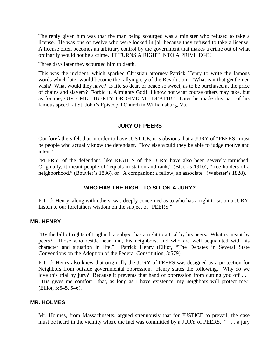The reply given him was that the man being scourged was a minister who refused to take a license. He was one of twelve who were locked in jail because they refused to take a license. A license often becomes an arbitrary control by the government that makes a crime out of what ordinarily would not be a crime. IT TURNS A RIGHT INTO A PRIVILEGE!

Three days later they scourged him to death.

This was the incident, which sparked Christian attorney Patrick Henry to write the famous words which later would become the rallying cry of the Revolution. "What is it that gentlemen wish? What would they have? Is life so dear, or peace so sweet, as to be purchased at the price of chains and slavery? Forbid it, Almighty God! I know not what course others may take, but as for me, GIVE ME LIBERTY OR GIVE ME DEATH!" Later he made this part of his famous speech at St. John's Episcopal Church in Williamsburg, Va.

#### **JURY OF PEERS**

Our forefathers felt that in order to have JUSTICE, it is obvious that a JURY of "PEERS" must be people who actually know the defendant. How else would they be able to judge motive and intent?

"PEERS" of the defendant, like RIGHTS of the JURY have also been severely tarnished. Originally, it meant people of "equals in station and rank," (Black's 1910), "free-holders of a neighborhood," (Bouvier's 1886), or "A companion; a fellow; an associate. (Webster's 1828).

# **WHO HAS THE RIGHT TO SIT ON A JURY?**

Patrick Henry, along with others, was deeply concerned as to who has a right to sit on a JURY. Listen to our forefathers wisdom on the subject of "PEERS."

#### **MR. HENRY**

"By the bill of rights of England, a subject has a right to a trial by his peers. What is meant by peers? Those who reside near him, his neighbors, and who are well acquainted with his character and situation in life." Patrick Henry (Elliot, "The Debates in Several State Conventions on the Adoption of the Federal Constitution, 3:579)

Patrick Henry also knew that originally the JURY of PEERS was designed as a protection for Neighbors from outside governmental oppression. Henry states the following, "Why do we love this trial by jury? Because it prevents that hand of oppression from cutting you off . . . THis gives me comfort—that, as long as I have existence, my neighbors will protect me." (Elliot, 3:545, 546).

#### **MR. HOLMES**

Mr. Holmes, from Massachusetts, argued strenuously that for JUSTICE to prevail, the case must be heard in the vicinity where the fact was committed by a JURY of PEERS. " . . . a jury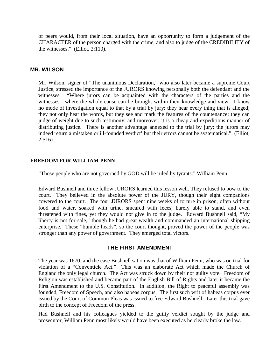of peers would, from their local situation, have an opportunity to form a judgement of the CHARACTER of the person charged with the crime, and also to judge of the CREDIBILITY of the witnesses." (Elliot, 2:110).

#### **MR. WILSON**

Mr. Wilson, signer of "The unanimous Declaration," who also later became a supreme Court Justice, stressed the importance of the JURORS knowing personally both the defendant and the witnesses. "Where jurors can be acquainted with the characters of the parties and the witnesses—where the whole cause can be brought within their knowledge and view—I know no mode of investigation equal to that by a trial by jury: they hear every thing that is alleged; they not only hear the words, but they see and mark the features of the countenance; they can judge of weight due to such testimony; and moreover, it is a cheap and expeditious manner of distributing justice. There is another advantage annexed to the trial by jury; the jurors may indeed return a mistaken or ill-founded verdict' but their errors cannot be systematical." (Elliot, 2:516)

#### **FREEDOM FOR WILLIAM PENN**

"Those people who are not governed by GOD will be ruled by tyrants." William Penn

Edward Bushnell and three fellow JURORS learned this lesson well. They refused to bow to the court. They believed in the absolute power of the JURY, though their eight companions cowered to the court. The four JURORS spent nine weeks of torture in prison, often without food and water, soaked with urine, smeared with feces, barely able to stand, and even threatened with fines, yet they would not give in to the judge. Edward Bushnell said, "My liberty is not for sale," though he had great wealth and commanded an international shipping enterprise. These "bumble heads", so the court thought, proved the power of the people was stronger than any power of government. They emerged total victors.

#### **THE FIRST AMENDMENT**

The year was 1670, and the case Bushnell sat on was that of William Penn, who was on trial for violation of a "Conventicle Act." This was an elaborate Act which made the Church of England the only legal church. The Act was struck down by their not guilty vote. Freedom of Religion was established and became part of the English Bill of Rights and later it became the First Amendment to the U.S. Constitution. In addition, the Right to peaceful assembly was founded, Freedom of Speech, and also habeas corpus. The first such writ of habeas corpus ever issued by the Court of Common Pleas was issued to free Edward Bushnell. Later this trial gave birth to the concept of Freedom of the press.

Had Bushnell and his colleagues yielded to the guilty verdict sought by the judge and prosecutor, William Penn most likely would have been executed as he clearly broke the law.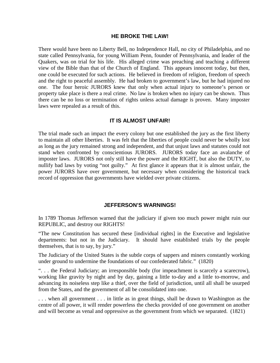#### **HE BROKE THE LAW!**

There would have been no Liberty Bell, no Independence Hall, no city of Philadelphia, and no state called Pennsylvania, for young William Penn, founder of Pennsylvania, and leader of the Quakers, was on trial for his life. His alleged crime was preaching and teaching a different view of the Bible than that of the Church of England. This appears innocent today, but then, one could be executed for such actions. He believed in freedom of religion, freedom of speech and the right to peaceful assembly. He had broken to government's law, but he had injured no one. The four heroic JURORS knew that only when actual injury to someone's person or property take place is there a real crime. No law is broken when no injury can be shown. Thus there can be no loss or termination of rights unless actual damage is proven. Many imposter laws were repealed as a result of this.

#### **IT IS ALMOST UNFAIR!**

The trial made such an impact the every colony but one established the jury as the first liberty to maintain all other liberties. It was felt that the liberties of people could never be wholly lost as long as the jury remained strong and independent, and that unjust laws and statutes could not stand when confronted by conscientious JURORS. JURORS today face an avalanche of imposter laws. JURORS not only still have the power and the RIGHT, but also the DUTY, to nullify bad laws by voting "not guilty." At first glance it appears that it is almost unfair, the power JURORS have over government, but necessary when considering the historical track record of oppression that governments have wielded over private citizens.

# **JEFFERSON'S WARNINGS!**

In 1789 Thomas Jefferson warned that the judiciary if given too much power might ruin our REPUBLIC, and destroy our RIGHTS!

"The new Constitution has secured these [individual rights] in the Executive and legislative departments: but not in the Judiciary. It should have established trials by the people themselves, that is to say, by jury."

The Judiciary of the United States is the subtle corps of sappers and miners constantly working under ground to undermine the foundations of our confederated fabric." (1820)

". . . the Federal Judiciary; an irresponsible body (for impeachment is scarcely a scarecrow), working like gravity by night and by day, gaining a little to-day and a little to-morrow, and advancing its noiseless step like a thief, over the field of jurisdiction, until all shall be usurped from the States, and the government of all be consolidated into one.

. . . when all government . . . in little as in great things, shall be drawn to Washington as the centre of all power, it will render powerless the checks provided of one government on another and will become as venal and oppressive as the government from which we separated. (1821)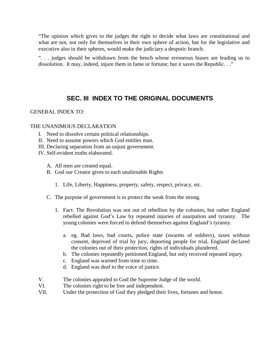"The opinion which gives to the judges the right to decide what laws are constitutional and what are not, not only for themselves in their own sphere of action, but for the legislative and executive also in their spheres, would make the judiciary a despotic branch.

". . . judges should be withdrawn from the bench whose erroneous biases are leading us to dissolution. It may, indeed, injure them in fame or fortune; but it saves the Republic. . ."

# **SEC. III INDEX TO THE ORIGINAL DOCUMENTS**

#### GENERAL INDEX TO:

#### THE UNANIMOUS DECLARATION

- I. Need to dissolve certain political relationships.
- II. Need to assume powers which God entitles man.
- III. Declaring separation from an unjust government.
- IV. Self-evident truths elaborated.
	- A. All men are created equal.
	- B. God our Creator gives to each unalienable Rights
		- 1. Life, Liberty, Happiness, property, safety, respect, privacy, etc.
	- C. The purpose of government is to protect the weak from the strong.
		- 1. Fact: The Revolution was not out of rebellion by the colonies, but rather England rebelled against God's Law by repeated injuries of usurpation and tyranny. The young colonies were forced to defend themselves against England's tyranny.
			- a. eg. Bad laws, bad courts, police state (swarms of soldiers), taxes without consent, deprived of trial by jury, deporting people for trial, England declared the colonies out of their protection, rights of individuals plundered.
			- b. The colonies repeatedly petitioned England, but only received repeated injury.
			- c. England was warned from time to time.
			- d. England was deaf to the voice of justice.
- V. The colonies appealed to God the Supreme Judge of the world.
- VI. The colonies right to be free and independent.
- VII. Under the protection of God they pledged their lives, fortunes and honor.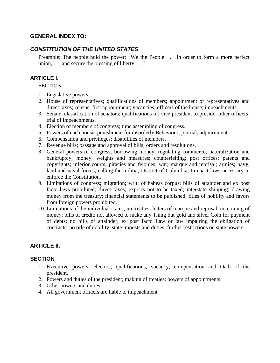# **GENERAL INDEX TO:**

# *CONSTITUTION OF THE UNITED STATES*

Preamble: The people hold the power: "We the People . . . in order to form a more perfect union,  $\dots$  and secure the blessing of liberty  $\dots$ "

# **ARTICLE I.**

SECTION.

- 1. Legislative powers.
- 2. House of representatives; qualifications of members; appointment of representatives and direct taxes; census; first appointment; vacancies; officers of the house; impeachments.
- 3. Senate, classification of senators; qualifications of; vice president to preside; other officers; trial of impeachments.
- 4. Election of members of congress; time assembling of congress.
- 5. Powers of each house; punishment for disorderly Behaviour; journal; adjournments.
- 6. Compensation and privileges; disabilities of members.
- 7. Revenue bills; passage and approval of bills; orders and resolutions.
- 8. General powers of congress; borrowing money; regulating commerce; naturalization and bankruptcy; money; weights and measures; counterfeiting; post offices; patents and copyrights; inferior courts; piracies and felonies; war; marque and reprisal; armies; navy; land and naval forces; calling the militia; District of Columbia; to enact laws necessary to enforce the Constitution.
- 9. Limitations of congress; migration; writ; of habeas corpus; bills of attainder and ex post facto laws prohibited; direct taxes; exports not to be taxed; interstate shipping; drawing money from the treasury; financial statements to be published; titles of nobility and favors from foreign powers prohibited.
- 10. Limitations of the individual states; no treaties; letters of marque and reprisal; no coining of money; bills of credit; not allowed to make any Thing but gold and silver Coin for payment of debts; no bills of attainder; ex post facto Law or law impairing the obligation of contracts; no title of nobility; state imposts and duties; further restrictions on state powers.

# **ARTICLE II.**

# **SECTION**

- 1. Executive powers; electors; qualifications, vacancy, compensation and Oath of the president.
- 2. Powers and duties of the president; making of treaties; powers of appointments.
- 3. Other powers and duties.
- 4. All government officers are liable to impeachment.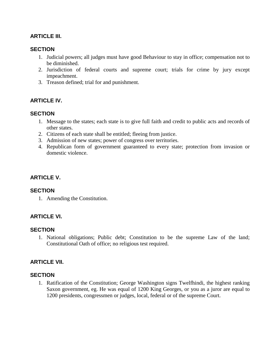# **ARTICLE III.**

# **SECTION**

- 1. Judicial powers; all judges must have good Behaviour to stay in office; compensation not to be diminished.
- 2. Jurisdiction of federal courts and supreme court; trials for crime by jury except impeachment.
- 3. Treason defined; trial for and punishment.

# **ARTICLE IV.**

# **SECTION**

- 1. Message to the states; each state is to give full faith and credit to public acts and records of other states.
- 2. Citizens of each state shall be entitled; fleeing from justice.
- 3. Admission of new states; power of congress over territories.
- 4. Republican form of government guaranteed to every state; protection from invasion or domestic violence.

# **ARTICLE V.**

#### **SECTION**

1. Amending the Constitution.

# **ARTICLE VI.**

# **SECTION**

1. National obligations; Public debt; Constitution to be the supreme Law of the land; Constitutional Oath of office; no religious test required.

# **ARTICLE VII.**

# **SECTION**

1. Ratification of the Constitution; George Washington signs Twelfhindi, the highest ranking Saxon government, eg. He was equal of 1200 King Georges, or you as a juror are equal to 1200 presidents, congressmen or judges, local, federal or of the supreme Court.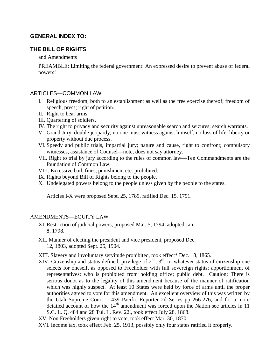# **GENERAL INDEX TO:**

# **THE BILL OF RIGHTS**

#### and Amendments

PREAMBLE: Limiting the federal government: An expressed desire to prevent abuse of federal powers!

## ARTICLES—COMMON LAW

- I. Religious freedom, both to an establishment as well as the free exercise thereof; freedom of speech, press; right of petition.
- II. Right to bear arms.
- III. Quartering of soldiers.
- IV. The right to privacy and security against unreasonable search and seizures; search warrants.
- V. Grand Jury, double jeopardy, no one must witness against himself, no loss of life, liberty or property without due process.
- VI. Speedy and public trials, impartial jury; nature and cause, right to confront; compulsory witnesses, assistance of Counsel—note, does not say attorney.
- VII. Right to trial by jury according to the rules of common law—Ten Commandments are the foundation of Common Law.
- VIII. Excessive bail, fines, punishment etc. prohibited.
- IX. Rights beyond Bill of Rights belong to the people.
- X. Undelegated powers belong to the people unless given by the people to the states.

Articles I-X were proposed Sept. 25, 1789, ratified Dec. 15, 1791.

#### AMENDMENTS—EQUITY LAW

- XI. Restriction of judicial powers, proposed Mar. 5, 1794, adopted Jan. 8, 1798.
- XII. Manner of electing the president and vice president, proposed Dec. 12, 1803, adopted Sept. 25, 1904.
- XIII. Slavery and involuntary servitude prohibited, took effect\* Dec. 18, 1865.
- XIV. Citizenship and status defined, privilege of  $2<sup>nd</sup>$ ,  $3<sup>rd</sup>$ , or whatever status of citizenship one selects for oneself, as opposed to Freeholder with full sovereign rights; apportionment of representatives; who is prohibited from holding office; public debt. Caution: There is serious doubt as to the legality of this amendment because of the manner of ratification which was highly suspect. At least 10 States were held by force of arms until the proper authorities agreed to vote for this amendment. An excellent overview of this was written by the Utah Supreme Court -- 439 Pacific Reporter 2d Series pp 266-276, and for a more detailed account of how the  $14<sup>th</sup>$  amendment was forced upon the Nation see articles in 11 S.C. L. Q. 484 and 28 Tul. L. Rev. 22., took effect July 28, 1868.

XV. Non Freeholders given right to vote, took effect Mar. 30, 1870.

XVI. Income tax, took effect Feb. 25, 1913, possibly only four states ratified it properly.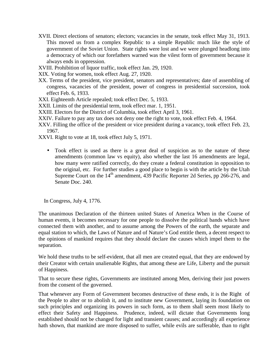XVII. Direct elections of senators; electors; vacancies in the senate, took effect May 31, 1913. This moved us from a complex Republic to a simple Republic much like the style of government of the Soviet Union. State rights were lost and we were plunged headlong into a democracy of which our forefathers warned was the vilest form of government because it always ends in oppression.

XVIII. Prohibition of liquor traffic, took effect Jan. 29, 1920.

XIX. Voting for women, took effect Aug. 27, 1920.

XX. Terms of the president, vice president, senators and representatives; date of assembling of congress, vacancies of the president, power of congress in presidential succession, took effect Feb. 6, 1933.

XXI. Eighteenth Article repealed; took effect Dec. 5, 1933.

XXII. Limits of the presidential term, took effect mar. 1, 1951.

XXIII. Electors for the District of Columbia, took effect April 3, 1961.

XXIV. Failure to pay any tax does not deny one the right to vote, took effect Feb. 4, 1964.

XXV. Filling the office of the president or vice president during a vacancy, took effect Feb. 23, 1967.

XXVI. Right to vote at 18, took effect July 5, 1971.

• Took effect is used as there is a great deal of suspicion as to the nature of these amendments (common law vs equity), also whether the last 16 amendments are legal, how many were ratified correctly, do they create a federal constitution in opposition to the original, etc. For further studies a good place to begin is with the article by the Utah Supreme Court on the  $14<sup>th</sup>$  amendment, 439 Pacific Reporter 2d Series, pp 266-276, and Senate Doc. 240.

In Congress, July 4, 1776.

The unanimous Declaration of the thirteen united States of America When in the Course of human events, it becomes necessary for one people to dissolve the political bands which have connected them with another, and to assume among the Powers of the earth, the separate and equal station to which, the Laws of Nature and of Nature's God entitle them, a decent respect to the opinions of mankind requires that they should declare the causes which impel them to the separation.

We hold these truths to be self-evident, that all men are created equal, that they are endowed by their Creator with certain unalienable Rights, that among these are Life, Liberty and the pursuit of Happiness.

That to secure these rights, Governments are instituted among Men, deriving their just powers from the consent of the governed.

That whenever any Form of Government becomes destructive of these ends, it is the Right of the People to alter or to abolish it, and to institute new Government, laying its foundation on such principles and organizing its powers in such form, as to them shall seem most likely to effect their Safety and Happiness. Prudence, indeed, will dictate that Governments long established should not be changed for light and transient causes; and accordingly all experience hath shown, that mankind are more disposed to suffer, while evils are sufferable, than to right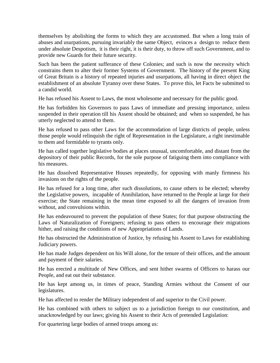themselves by abolishing the forms to which they are accustomed. But when a long train of abuses and usurpations, pursuing invariably the same Object, evinces a design to reduce them under absolute Despotism, it is their right, it is their duty, to throw off such Government, and to provide new Guards for their future security.

Such has been the patient sufferance of these Colonies; and such is now the necessity which constrains them to alter their former Systems of Government. The history of the present King of Great Britain is a history of repeated injuries and usurpations, all having in direct object the establishment of an absolute Tyranny over these States. To prove this, let Facts be submitted to a candid world.

He has refused his Assent to Laws, the most wholesome and necessary for the public good.

He has forbidden his Governors to pass Laws of immediate and pressing importance, unless suspended in their operation till his Assent should be obtained; and when so suspended, he has utterly neglected to attend to them.

He has refused to pass other Laws for the accommodation of large districts of people, unless those people would relinquish the right of Representation in the Legislature, a right inestimable to them and formidable to tyrants only.

He has called together legislative bodies at places unusual, uncomfortable, and distant from the depository of their public Records, for the sole purpose of fatiguing them into compliance with his measures.

He has dissolved Representative Houses repeatedly, for opposing with manly firmness his invasions on the rights of the people.

He has refused for a long time, after such dissolutions, to cause others to be elected; whereby the Legislative powers, incapable of Annihilation, have returned to the People at large for their exercise; the State remaining in the mean time exposed to all the dangers of invasion from without, and convulsions within.

He has endeavoured to prevent the population of these States; for that purpose obstructing the Laws of Naturalization of Foreigners; refusing to pass others to encourage their migrations hither, and raising the conditions of new Appropriations of Lands.

He has obstructed the Administration of Justice, by refusing his Assent to Laws for establishing Judiciary powers.

He has made Judges dependent on his Will alone, for the tenure of their offices, and the amount and payment of their salaries.

He has erected a multitude of New Offices, and sent hither swarms of Officers to harass our People, and eat out their substance.

He has kept among us, in times of peace, Standing Armies without the Consent of our legislatures.

He has affected to render the Military independent of and superior to the Civil power.

He has combined with others to subject us to a jurisdiction foreign to our constitution, and unacknowledged by our laws; giving his Assent to their Acts of pretended Legislation:

For quartering large bodies of armed troops among us: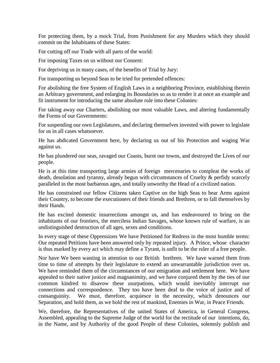For protecting them, by a mock Trial, from Punishment for any Murders which they should commit on the Inhabitants of these States:

For cutting off our Trade with all parts of the world:

For imposing Taxes on us without our Consent:

For depriving us in many cases, of the benefits of Trial by Jury:

For transporting us beyond Seas to be tried for pretended offences:

For abolishing the free System of English Laws in a neighboring Province, establishing therein an Arbitrary government, and enlarging its Boundaries so as to render it at once an example and fit instrument for introducing the same absolute rule into these Colonies:

For taking away our Charters, abolishing our most valuable Laws, and altering fundamentally the Forms of our Governments:

For suspending our own Legislatures, and declaring themselves invested with power to legislate for us in all cases whatsoever.

He has abdicated Government here, by declaring us out of his Protection and waging War against us.

He has plundered our seas, ravaged our Coasts, burnt our towns, and destroyed the Lives of our people.

He is at this time transporting large armies of foreign mercenaries to compleat the works of death, desolation and tyranny, already begun with circumstances of Cruelty & perfidy scarcely paralleled in the most barbarous ages, and totally unworthy the Head of a civilized nation.

He has constrained our fellow Citizens taken Captive on the high Seas to bear Arms against their Country, to become the executioners of their friends and Brethren, or to fall themselves by their Hands.

He has excited domestic insurrections amongst us, and has endeavoured to bring on the inhabitants of our frontiers, the merciless Indian Savages, whose known rule of warfare, is an undistinguished destruction of all ages, sexes and conditions.

In every stage of these Oppressions We have Petitioned for Redress in the most humble terms: Our repeated Petitions have been answered only by repeated injury. A Prince, whose character is thus marked by every act which may define a Tyrant, is unfit to be the ruler of a free people.

Nor have We been wanting in attention to our British brethren. We have warned them from time to time of attempts by their legislature to extend an unwarrantable jurisdiction over us. We have reminded them of the circumstances of our emigration and settlement here. We have appealed to their native justice and magnanimity, and we have conjured them by the ties of our common kindred to disavow these usurpations, which would inevitably interrupt our connections and correspondence. They too have been deaf to the voice of justice and of consanguinity. We must, therefore, acquiesce in the necessity, which denounces our Separation, and hold them, as we hold the rest of mankind, Enemies in War, in Peace Friends.

We, therefore, the Representatives of the united States of America, in General Congress, Assembled, appealing to the Supreme Judge of the world for the rectitude of our intentions, do, in the Name, and by Authority of the good People of these Colonies, solemnly publish and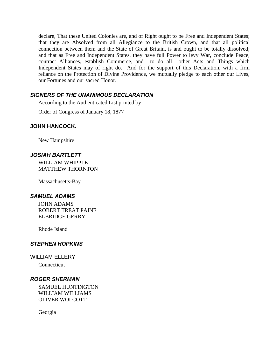declare, That these United Colonies are, and of Right ought to be Free and Independent States; that they are Absolved from all Allegiance to the British Crown, and that all political connection between them and the State of Great Britain, is and ought to be totally dissolved; and that as Free and Independent States, they have full Power to levy War, conclude Peace, contract Alliances, establish Commerce, and to do all other Acts and Things which Independent States may of right do. And for the support of this Declaration, with a firm reliance on the Protection of Divine Providence, we mutually pledge to each other our Lives, our Fortunes and our sacred Honor.

# *SIGNERS OF THE UNANIMOUS DECLARATION*

According to the Authenticated List printed by Order of Congress of January 18, 1877

# **JOHN HANCOCK.**

New Hampshire

# *JOSIAH BARTLETT*

WILLIAM WHIPPLE MATTHEW THORNTON

Massachusetts-Bay

# *SAMUEL ADAMS*

JOHN ADAMS ROBERT TREAT PAINE ELBRIDGE GERRY

Rhode Island

# *STEPHEN HOPKINS*

# WILLIAM ELLERY

Connecticut

# *ROGER SHERMAN*

SAMUEL HUNTINGTON WILLIAM WILLIAMS OLIVER WOLCOTT

Georgia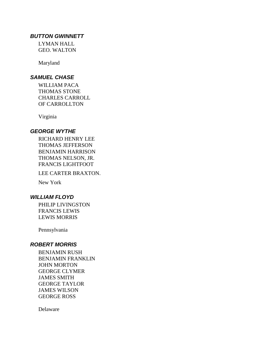# *BUTTON GWINNETT*

LYMAN HALL GEO. WALTON

Maryland

# *SAMUEL CHASE*

WILLIAM PACA THOMAS STONE CHARLES CARROLL OF CARROLLTON

Virginia

#### *GEORGE WYTHE*

RICHARD HENRY LEE THOMAS JEFFERSON BENJAMIN HARRISON THOMAS NELSON, JR. FRANCIS LIGHTFOOT

LEE CARTER BRAXTON.

New York

# *WILLIAM FLOYD*

PHILIP LIVINGSTON FRANCIS LEWIS LEWIS MORRIS

Pennsylvania

#### *ROBERT MORRIS*

BENJAMIN RUSH BENJAMIN FRANKLIN JOHN MORTON GEORGE CLYMER JAMES SMITH GEORGE TAYLOR JAMES WILSON GEORGE ROSS

Delaware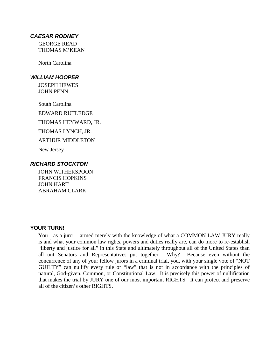#### *CAESAR RODNEY*

GEORGE READ THOMAS M'KEAN

North Carolina

#### *WILLIAM HOOPER*

JOSEPH HEWES JOHN PENN

South Carolina EDWARD RUTLEDGE THOMAS HEYWARD, JR.

THOMAS LYNCH, JR.

ARTHUR MIDDLETON

New Jersey

# *RICHARD STOCKTON*

JOHN WITHERSPOON FRANCIS HOPKINS JOHN HART ABRAHAM CLARK

# **YOUR TURN!**

You—as a juror—armed merely with the knowledge of what a COMMON LAW JURY really is and what your common law rights, powers and duties really are, can do more to re-establish "liberty and justice for all" in this State and ultimately throughout all of the United States than all out Senators and Representatives put together. Why? Because even without the concurrence of any of your fellow jurors in a criminal trial, you, with your single vote of "NOT GUILTY" can nullify every rule or "law" that is not in accordance with the principles of natural, God-given, Common, or Constitutional Law. It is precisely this power of nullification that makes the trial by JURY one of our most important RIGHTS. It can protect and preserve all of the citizen's other RIGHTS.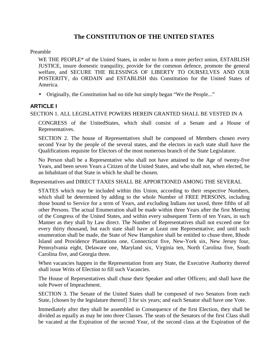# **The CONSTITUTION OF THE UNITED STATES**

Preamble

WE THE PEOPLE\* of the United States, in order to form a more perfect union, ESTABLISH JUSTICE, insure domestic tranquility, provide for the common defence, promote the general welfare, and SECURE THE BLESSINGS OF LIBERTY TO OURSELVES AND OUR POSTERITY, do ORDAIN and ESTABLISH this Constitution for the United States of America.

• Originally, the Constitution had no title but simply began "We the People..."

# **ARTICLE I**

# SECTION 1. ALL LEGISLATIVE POWERS HEREIN GRANTED SHALL BE VESTED IN A

CONGRESS of the UnitedStates, which shall consist of a Senate and a House of Representatives.

SECTION 2. The house of Representatives shall be composed of Members chosen every second Year by the people of the several states, and the electors in each state shall have the Qualifications requisite for Electors of the most numerous branch of the State Legislature.

No Person shall be a Representative who shall not have attained to the Age of twenty-five Years, and been seven Years a Citizen of the United States, and who shall not, when elected, be an Inhabitant of that State in which he shall be chosen.

Representatives and DIRECT TAXES SHALL BE APPORTIONED AMONG THE SEVERAL

STATES which may be included within this Union, according to their respective Numbers, which shall be determined by adding to the whole Number of FREE PERSONS, including those bound to Service for a term of Years, and excluding Indians not taxed, three fifths of all other Persons. The actual Enumeration shall be made within three Years after the first Meeting of the Congress of the United States, and within every subsequent Term of ten Years, in such Manner as they shall by Law direct. The Number of Representatives shall not exceed one for every thirty thousand, but each state shall have at Least one Representative; and until such enumeration shall be made, the State of New Hampshire shall be entitled to chuse three, Rhode Island and Providence Plantations one, Connecticut five, New-York six, New Jersey four, Pennsylvania eight, Delaware one, Maryland six, Virginia ten, North Carolina five, South Carolina five, and Georgia three.

When vacancies happen in the Representation from any State, the Executive Authority thereof shall issue Writs of Election to fill such Vacancies.

The House of Representatives shall chuse their Speaker and other Officers; and shall have the sole Power of Impeachment.

SECTION 3. The Senate of the United States shall be composed of two Senators from each State, [chosen by the legislature thereof] 3 for six years; and each Senator shall have one Vote.

Immediately after they shall be assembled in Consequence of the first Election, they shall be divided as equally as may be into three Classes. The seats of the Senators of the first Class shall be vacated at the Expiration of the second Year, of the second class at the Expiration of the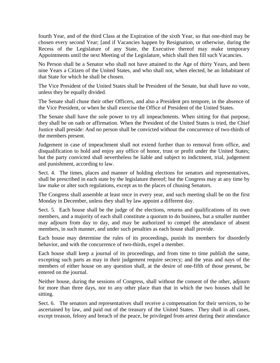fourth Year, and of the third Class at the Expiration of the sixth Year, so that one-third may be chosen every second Year; [and if Vacancies happen by Resignation, or otherwise, during the Recess of the Legislature of any State, the Executive thereof may make temporary Appointments until the next Meeting of the Legislature, which shall then fill such Vacancies.

No Person shall be a Senator who shall not have attained to the Age of thirty Years, and been nine Years a Citizen of the United States, and who shall not, when elected, be an Inhabitant of that State for which he shall be chosen.

The Vice President of the United States shall be President of the Senate, but shall have no vote, unless they be equally divided.

The Senate shall chuse their other Officers, and also a President pro tempore, in the absence of the Vice President, or when he shall exercise the Office of President of the United States.

The Senate shall have the sole power to try all impeachments. When sitting for that purpose, they shall be on oath or affirmation. When the President of the United States is tried, the Chief Justice shall preside: And no person shall be convicted without the concurrence of two-thirds of the members present.

Judgement in case of impeachment shall not extend further than to removal from office, and disqualification to hold and enjoy any office of honor, trust or profit under the United States; but the party convicted shall nevertheless be liable and subject to indictment, trial, judgement and punishment, according to law.

Sect. 4. The times, places and manner of holding elections for senators and representatives, shall be prescribed in each state by the legislature thereof; but the Congress may at any time by law make or alter such regulations, except as to the places of chusing Senators.

The Congress shall assemble at least once in every year, and such meeting shall be on the first Monday in December, unless they shall by law appoint a different day.

Sect. 5. Each house shall be the judge of the elections, returns and qualifications of its own members, and a majority of each shall constitute a quorum to do business, but a smaller number may adjourn from day to day, and may be authorized to compel the attendance of absent members, in such manner, and under such penalties as each house shall provide.

Each house may determine the rules of its proceedings, punish its members for disorderly behavior, and with the concurrence of two-thirds, expel a member.

Each house shall keep a journal of its proceedings, and from time to time publish the same, excepting such parts as may in their judgement require secrecy; and the yeas and nays of the members of either house on any question shall, at the desire of one-fifth of those present, be entered on the journal.

Neither house, during the sessions of Congress, shall without the consent of the other, adjourn for more than three days, nor to any other place than that in which the two houses shall be sitting.

Sect. 6. The senators and representatives shall receive a compensation for their services, to be ascertained by law, and paid out of the treasury of the United States. They shall in all cases, except treason, felony and breach of the peace, be privileged from arrest during their attendance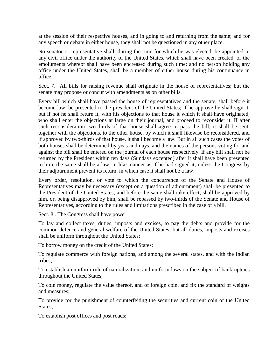at the session of their respective houses, and in going to and returning from the same; and for any speech or debate in either house, they shall not be questioned in any other place.

No senator or representative shall, during the time for which he was elected, be appointed to any civil office under the authority of the United States, which shall have been created, or the emoluments whereof shall have been encreased during such time; and no person holding any office under the United States, shall be a member of either house during his continuance in office.

Sect. 7. All bills for raising revenue shall originate in the house of representatives; but the senate may propose or concur with amendments as on other bills.

Every bill which shall have passed the house of representatives and the senate, shall before it become law, be presented to the president of the United States; if he approve he shall sign it, but if not he shall return it, with his objections to that house it which it shall have originated, who shall enter the objections at large on their journal, and proceed to reconsider it. If after such reconsideration two-thirds of that house shall agree to pass the bill, it shall be sent, together with the objections, to the other house, by which it shall likewise be reconsidered, and if approved by two-thirds of that house, it shall become a law. But in all such cases the votes of both houses shall be determined by yeas and nays, and the names of the persons voting for and against the bill shall be entered on the journal of each house respectively. If any bill shall not be returned by the President within ten days (Sundays excepted) after it shall have been presented to him, the same shall be a law, in like manner as if he had signed it, unless the Congress by their adjournment prevent its return, in which case it shall not be a law.

Every order, resolution, or vote to which the concurrence of the Senate and House of Representatives may be necessary (except on a question of adjournment) shall be presented to the President of the United States; and before the same shall take effect, shall be approved by him, or, being disapproved by him, shall be repassed by two-thirds of the Senate and House of Representatives, according to the rules and limitations prescribed in the case of a bill.

Sect. 8.. The Congress shall have power:

To lay and collect taxes, duties, imposts and excises, to pay the debts and provide for the common defence and general welfare of the United States; but all duties, imposts and excises shall be uniform throughout the United States;

To borrow money on the credit of the United States;

To regulate commerce with foreign nations, and among the several states, and with the Indian tribes;

To establish an uniform rule of naturalization, and uniform laws on the subject of bankruptcies throughout the United States;

To coin money, regulate the value thereof, and of foreign coin, and fix the standard of weights and measures;

To provide for the punishment of counterfeiting the securities and current coin of the United States;

To establish post offices and post roads;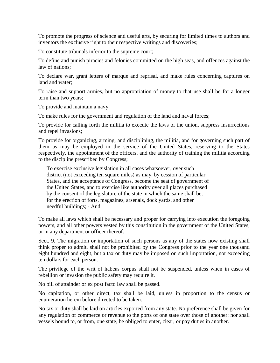To promote the progress of science and useful arts, by securing for limited times to authors and inventors the exclusive right to their respective writings and discoveries;

To constitute tribunals inferior to the supreme court;

To define and punish piracies and felonies committed on the high seas, and offences against the law of nations;

To declare war, grant letters of marque and reprisal, and make rules concerning captures on land and water;

To raise and support armies, but no appropriation of money to that use shall be for a longer term than two years;

To provide and maintain a navy;

To make rules for the government and regulation of the land and naval forces;

To provide for calling forth the militia to execute the laws of the union, suppress insurrections and repel invasions;

To provide for organizing, arming, and disciplining, the militia, and for governing such part of them as may be employed in the service of the United States, reserving to the States respectively, the appointment of the officers, and the authority of training the militia according to the discipline prescribed by Congress;

To exercise exclusive legislation in all cases whatsoever, over such district (not exceeding ten square miles) as may, by cession of particular States, and the acceptance of Congress, become the seat of government of the United States, and to exercise like authority over all places purchased by the consent of the legislature of the state in which the same shall be, for the erection of forts, magazines, arsenals, dock yards, and other needful buildings; - And

To make all laws which shall be necessary and proper for carrying into execution the foregoing powers, and all other powers vested by this constitution in the government of the United States, or in any department or officer thereof.

Sect. 9. The migration or importation of such persons as any of the states now existing shall think proper to admit, shall not be prohibited by the Congress prior to the year one thousand eight hundred and eight, but a tax or duty may be imposed on such importation, not exceeding ten dollars for each person.

The privilege of the writ of habeas corpus shall not be suspended, unless when in cases of rebellion or invasion the public safety may require it.

No bill of attainder or ex post facto law shall be passed.

No capitation, or other direct, tax shall be laid, unless in proportion to the census or enumeration herein before directed to be taken.

No tax or duty shall be laid on articles exported from any state. No preference shall be given for any regulation of commerce or revenue to the ports of one state over those of another: nor shall vessels bound to, or from, one state, be obliged to enter, clear, or pay duties in another.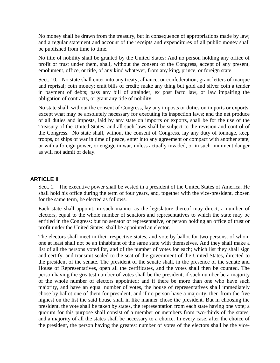No money shall be drawn from the treasury, but in consequence of appropriations made by law; and a regular statement and account of the receipts and expenditures of all public money shall be published from time to time.

No title of nobility shall be granted by the United States: And no person holding any office of profit or trust under them, shall, without the consent of the Congress, accept of any present, emolument, office, or title, of any kind whatever, from any king, prince, or foreign state.

Sect. 10. No state shall enter into any treaty, alliance, or confederation; grant letters of marque and reprisal; coin money; emit bills of credit; make any thing but gold and silver coin a tender in payment of debts; pass any bill of attainder, ex post facto law, or law impairing the obligation of contracts, or grant any title of nobility.

No state shall, without the consent of Congress, lay any imposts or duties on imports or exports, except what may be absolutely necessary for executing its inspection laws; and the net produce of all duties and imposts, laid by any state on imports or exports, shall be for the use of the Treasury of the United States; and all such laws shall be subject to the revision and control of the Congress. No state shall, without the consent of Congress, lay any duty of tonnage, keep troops, or ships of war in time of peace, enter into any agreement or compact with another state, or with a foreign power, or engage in war, unless actually invaded, or in such imminent danger as will not admit of delay.

# **ARTICLE II**

Sect. 1. The executive power shall be vested in a president of the United States of America. He shall hold his office during the term of four years, and, together with the vice-president, chosen for the same term, be elected as follows.

Each state shall appoint, in such manner as the legislature thereof may direct, a number of electors, equal to the whole number of senators and representatives to which the state may be entitled in the Congress: but no senator or representative, or person holding an office of trust or profit under the United States, shall be appointed an elector.

The electors shall meet in their respective states, and vote by ballot for two persons, of whom one at least shall not be an inhabitant of the same state with themselves. And they shall make a list of all the persons voted for, and of the number of votes for each; which list they shall sign and certify, and transmit sealed to the seat of the government of the United States, directed to the president of the senate. The president of the senate shall, in the presence of the senate and House of Representatives, open all the certificates, and the votes shall then be counted. The person having the greatest number of votes shall be the president, if such number be a majority of the whole number of electors appointed; and if there be more than one who have such majority, and have an equal number of votes, the house of representatives shall immediately chose by ballot one of them for president; and if no person have a majority, then from the five highest on the list the said house shall in like manner chose the president. But in choosing the president, the vote shall be taken by states, the representation from each state having one vote; a quorum for this purpose shall consist of a member or members from two-thirds of the states, and a majority of all the states shall be necessary to a choice. In every case, after the choice of the president, the person having the greatest number of votes of the electors shall be the vice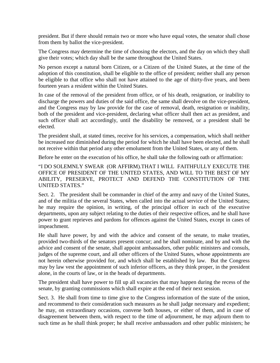president. But if there should remain two or more who have equal votes, the senator shall chose from them by ballot the vice-president.

The Congress may determine the time of choosing the electors, and the day on which they shall give their votes; which day shall be the same throughout the United States.

No person except a natural born Citizen, or a Citizen of the United States, at the time of the adoption of this constitution, shall be eligible to the office of president; neither shall any person be eligible to that office who shall not have attained to the age of thirty-five years, and been fourteen years a resident within the United States.

In case of the removal of the president from office, or of his death, resignation, or inability to discharge the powers and duties of the said office, the same shall devolve on the vice-president, and the Congress may by law provide for the case of removal, death, resignation or inability, both of the president and vice-president, declaring what officer shall then act as president, and such officer shall act accordingly, until the disability be removed, or a president shall be elected.

The president shall, at stated times, receive for his services, a compensation, which shall neither be increased nor diminished during the period for which he shall have been elected, and he shall not receive within that period any other emolument from the United States, or any of them.

Before he enter on the execution of his office, he shall take the following oath or affirmation:

"I DO SOLEMNLY SWEAR (OR AFFIRM).THAT I WILL FAITHFULLY EXECUTE THE OFFICE OF PRESIDENT OF THE UNITED STATES, AND WILL TO THE BEST OF MY ABILITY, PRESERVE, PROTECT AND DEFEND THE CONSTITUTION OF THE UNITED STATES."

Sect. 2. The president shall be commander in chief of the army and navy of the United States, and of the militia of the several States, when called into the actual service of the United States; he may require the opinion, in writing, of the principal officer in each of the executive departments, upon any subject relating to the duties of their respective offices, and he shall have power to grant reprieves and pardons for offences against the United States, except in cases of impeachment.

He shall have power, by and with the advice and consent of the senate, to make treaties, provided two-thirds of the senators present concur; and he shall nominate, and by and with the advice and consent of the senate, shall appoint ambassadors, other public ministers and consuls, judges of the supreme court, and all other officers of the United States, whose appointments are not herein otherwise provided for, and which shall be established by law. But the Congress may by law vest the appointment of such inferior officers, as they think proper, in the president alone, in the courts of law, or in the heads of departments.

The president shall have power to fill up all vacancies that may happen during the recess of the senate, by granting commissions which shall expire at the end of their next session.

Sect. 3. He shall from time to time give to the Congress information of the state of the union, and recommend to their consideration such measures as he shall judge necessary and expedient; he may, on extraordinary occasions, convene both houses, or either of them, and in case of disagreement between them, with respect to the time of adjournment, he may adjourn them to such time as he shall think proper; he shall receive ambassadors and other public ministers; he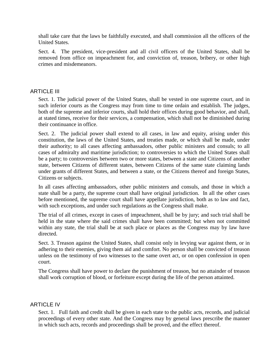shall take care that the laws be faithfully executed, and shall commission all the officers of the United States.

Sect. 4. The president, vice-president and all civil officers of the United States, shall be removed from office on impeachment for, and conviction of, treason, bribery, or other high crimes and misdemeanors.

# ARTICLE III

Sect. 1. The judicial power of the United States, shall be vested in one supreme court, and in such inferior courts as the Congress may from time to time ordain and establish. The judges, both of the supreme and inferior courts, shall hold their offices during good behavior, and shall, at stated times, receive for their services, a compensation, which shall not be diminished during their continuance in office.

Sect. 2. The judicial power shall extend to all cases, in law and equity, arising under this constitution, the laws of the United States, and treaties made, or which shall be made, under their authority; to all cases affecting ambassadors, other public ministers and consuls; to all cases of admiralty and maritime jurisdiction; to controversies to which the United States shall be a party; to controversies between two or more states, between a state and Citizens of another state, between Citizens of different states, between Citizens of the same state claiming lands under grants of different States, and between a state, or the Citizens thereof and foreign States, Citizens or subjects.

In all cases affecting ambassadors, other public ministers and consuls, and those in which a state shall be a party, the supreme court shall have original jurisdiction. In all the other cases before mentioned, the supreme court shall have appellate jurisdiction, both as to law and fact, with such exceptions, and under such regulations as the Congress shall make.

The trial of all crimes, except in cases of impeachment, shall be by jury; and such trial shall be held in the state where the said crimes shall have been committed; but when not committed within any state, the trial shall be at such place or places as the Congress may by law have directed.

Sect. 3. Treason against the United States, shall consist only in levying war against them, or in adhering to their enemies, giving them aid and comfort. No person shall be convicted of treason unless on the testimony of two witnesses to the same overt act, or on open confession in open court.

The Congress shall have power to declare the punishment of treason, but no attainder of treason shall work corruption of blood, or forfeiture except during the life of the person attainted.

# ARTICLE IV

Sect. 1. Full faith and credit shall be given in each state to the public acts, records, and judicial proceedings of every other state. And the Congress may by general laws prescribe the manner in which such acts, records and proceedings shall be proved, and the effect thereof.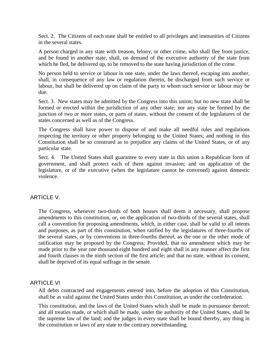Sect. 2. The Citizens of each state shall be entitled to all privileges and immunities of Citizens in the several states.

A person charged in any state with treason, felony, or other crime, who shall flee from justice, and be found in another state, shall, on demand of the executive authority of the state from which he fled, be delivered up, to be removed to the state having jurisdiction of the crime.

No person held to service or labour in one state, under the laws thereof, escaping into another, shall, in consequence of any law or regulation therein, be discharged from such service or labour, but shall be delivered up on claim of the party to whom such service or labour may be due.

Sect. 3. New states may be admitted by the Congress into this union; but no new state shall be formed or erected within the jurisdiction of any other state; nor any state be formed by the junction of two or more states, or parts of states, without the consent of the legislatures of the states concerned as well as of the Congress.

The Congress shall have power to dispose of and make all needful rules and regulations respecting the territory or other property belonging to the United States; and nothing in this Constitution shall be so construed as to prejudice any claims of the United States, or of any particular state.

Sect. 4. The United States shall guarantee to every state in this union a Republican form of government, and shall protect each of them against invasion; and on application of the legislature, or of the executive (when the legislature cannot be convened) against domestic violence.

# ARTICLE V.

The Congress, whenever two-thirds of both houses shall deem it necessary, shall propose amendments to this constitution, or, on the application of two-thirds of the several states, shall call a convention for proposing amendments, which, in either case, shall be valid to all intents and purposes, as part of this constitution, when ratified by the legislatures of three-fourths of the several states, or by conventions in three-fourths thereof, as the one or the other mode of ratification may be proposed by the Congress; Provided, that no amendment which may be made prior to the year one thousand eight hundred and eight shall in any manner affect the first and fourth clauses in the ninth section of the first article; and that no state, without its consent, shall be deprived of its equal suffrage in the senate.

# ARTICLE VI

All debts contracted and engagements entered into, before the adoption of this Constitution, shall be as valid against the United States under this Constitution, as under the confederation.

This constitution, and the laws of the United States which shall be made in pursuance thereof; and all treaties made, or which shall be made, under the authority of the United States, shall be the supreme law of the land; and the judges in every state shall be bound thereby, any thing in the constitution or laws of any state to the contrary notwithstanding.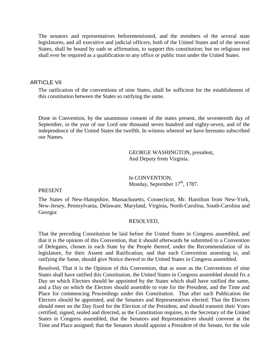The senators and representatives beforementioned, and the members of the several state legislatures, and all executive and judicial officers, both of the United States and of the several States, shall be bound by oath or affirmation, to support this constitution; but no religious test shall ever be required as a qualification to any office or public trust under the United States.

#### ARTICLE VII

The ratification of the conventions of nine States, shall be sufficient for the establishment of this constitution between the States so ratifying the same.

Done in Convention, by the unanimous consent of the states present, the seventeenth day of September, in the year of our Lord one thousand seven hundred and eighty-seven, and of the independence of the United States the twelfth. In witness whereof we have hereunto subscribed our Names.

> GEORGE WASHINGTON, president, And Deputy from Virginia.

In CONVENTION, Monday, September  $17<sup>th</sup>$ , 1787.

PRESENT

The States of New-Hampshire, Massachusetts, Connecticut, Mr. Hamilton from New-York, New-Jersey, Pennsylvania, Delaware, Maryland, Virginia, North-Carolina, South-Carolina and Georgia:

#### RESOLVED,

That the preceding Constitution be laid before the United States in Congress assembled, and that it is the opinion of this Convention, that it should afterwards be submitted to a Convention of Delegates, chosen in each State by the People thereof, under the Recommendation of its legislature, for their Assent and Ratification; and that each Convention assenting to, and ratifying the Same, should give Notice thereof to the United States in Congress assembled.

Resolved, That it is the Opinion of this Convention, that as soon as the Conventions of nine States shall have ratified this Constitution, the United States in Congress assembled should fix a Day on which Electors should be appointed by the States which shall have ratified the same, and a Day on which the Electors should assemble to vote for the President, and the Time and Place for commencing Proceedings under this Constitution. That after such Publication the Electors should be appointed, and the Senators and Representatives elected: That the Electors should meet on the Day fixed for the Election of the President, and should transmit their Votes certified, signed, sealed and directed, as the Constitution requires, to the Secretary of the United States in Congress assembled, that the Senators and Representatives should convene at the Time and Place assigned; that the Senators should appoint a President of the Senate, for the sole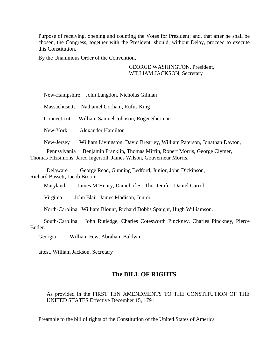Purpose of receiving, opening and counting the Votes for President; and, that after he shall be chosen, the Congress, together with the President, should, without Delay, proceed to execute this Constitution.

By the Unanimous Order of the Convention,

#### GEORGE WASHINGTON, President, WILLIAM JACKSON, Secretary

New-Hampshire John Langdon, Nicholas Gilman

Massachusetts Nathaniel Gorham, Rufus King

Connecticut William Samuel Johnson, Roger Sherman

New-York Alexander Hamilton

New-Jersey William Livingston, David Brearley, William Paterson, Jonathan Dayton,

Pennsylvania Benjamin Franklin, Thomas Miffin, Robert Morris, George Clymer, Thomas Fitzsimons, Jared Ingersoll, James Wilson, Gouverneur Morris,

Delaware George Read, Gunning Bedford, Junior, John Dickinson, Richard Bassett, Jacob Broom.

Maryland James M'Henry, Daniel of St. Tho. Jenifer, Daniel Carrol

Virginia John Blair, James Madison, Junior

North-Carolina William Blount, Richard Dobbs Spaight, Hugh Williamson.

 South-Carolina John Rutledge, Charles Cotesworth Pinckney, Charles Pinckney, Pierce Butler.

Georgia William Few, Abraham Baldwin.

attest, William Jackson, Secretary

# **The BILL OF RIGHTS**

As provided in the FIRST TEN AMENDMENTS TO THE CONSTITUTION OF THE UNITED STATES Effective December 15, 1791

Preamble to the bill of rights of the Constitution of the United States of America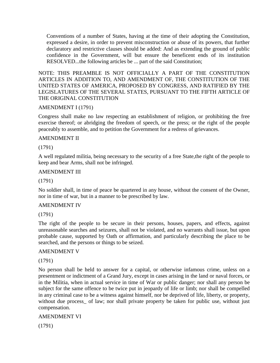Conventions of a number of States, having at the time of their adopting the Constitution, expressed a desire, in order to prevent misconstruction or abuse of its powers, that further declaratory and restrictive clauses should be added: And as extending the ground of public confidence in the Government, will but ensure the beneficent ends of its institution RESOLVED...the following articles be ... part of the said Constitution;

NOTE: THIS PREAMBLE IS NOT OFFICIALLY A PART OF THE CONSTITUTION ARTICLES IN ADDITION TO, AND AMENDMENT OF, THE CONSTITUTION OF THE UNITED STATES OF AMERICA, PROPOSED BY CONGRESS, AND RATIFIED BY THE LEGISLATURES OF THE SEVERAL STATES, PURSUANT TO THE FIFTH ARTICLE OF THE ORIGINAL CONSTITUTION

#### AMENDMENT I (1791)

Congress shall make no law respecting an establishment of religion, or prohibiting the free exercise thereof; or abridging the freedom of speech, or the press; or the right of the people peaceably to assemble, and to petition the Government for a redress of grievances.

#### AMENDMENT II

#### (1791)

A well regulated militia, being necessary to the security of a free State,the right of the people to keep and bear Arms, shall not be infringed.

#### AMENDMENT III

#### (1791)

No soldier shall, in time of peace be quartered in any house, without the consent of the Owner, nor in time of war, but in a manner to be prescribed by law.

#### AMENDMENT IV

(1791)

The right of the people to be secure in their persons, houses, papers, and effects, against unreasonable searches and seizures, shall not be violated, and no warrants shall issue, but upon probable cause, supported by Oath or affirmation, and particularly describing the place to be searched, and the persons or things to be seized.

#### AMENDMENT V

#### (1791)

No person shall be held to answer for a capital, or otherwise infamous crime, unless on a presentment or indictment of a Grand Jury, except in cases arising in the land or naval forces, or in the Militia, when in actual service in time of War or public danger; nor shall any person be subject for the same offence to be twice put in jeopardy of life or limb; nor shall be compelled in any criminal case to be a witness against himself, nor be deprived of life, liberty, or property, without due process\_ of law; nor shall private property be taken for public use, without just compensation.

#### AMENDMENT VI

(1791)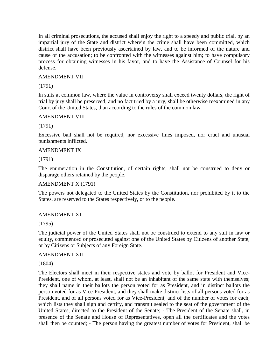In all criminal prosecutions, the accused shall enjoy the right to a speedy and public trial, by an impartial jury of the State and district wherein the crime shall have been committed, which district shall have been previously ascertained by law, and to be informed of the nature and cause of the accusation; to be confronted with the witnesses against him; to have compulsory process for obtaining witnesses in his favor, and to have the Assistance of Counsel for his defense.

#### AMENDMENT VII

#### (1791)

In suits at common law, where the value in controversy shall exceed twenty dollars, the right of trial by jury shall be preserved, and no fact tried by a jury, shall be otherwise reexamined in any Court of the United States, than according to the rules of the common law.

#### AMENDMENT VIII

#### (1791)

Excessive bail shall not be required, nor excessive fines imposed, nor cruel and unusual punishments inflicted.

#### AMENDMENT IX

#### (1791)

The enumeration in the Constitution, of certain rights, shall not be construed to deny or disparage others retained by the people.

#### AMENDMENT X (1791)

The powers not delegated to the United States by the Constitution, nor prohibited by it to the States, are reserved to the States respectively, or to the people.

#### AMENDMENT XI

#### (1795)

The judicial power of the United States shall not be construed to extend to any suit in law or equity, commenced or prosecuted against one of the United States by Citizens of another State, or by Citizens or Subjects of any Foreign State.

#### AMENDMENT XII

#### (1804)

The Electors shall meet in their respective states and vote by ballot for President and Vice-President, one of whom, at least, shall not be an inhabitant of the same state with themselves; they shall name in their ballots the person voted for as President, and in distinct ballots the person voted for as Vice-President, and they shall make distinct lists of all persons voted for as President, and of all persons voted for as Vice-President, and of the number of votes for each, which lists they shall sign and certify, and transmit sealed to the seat of the government of the United States, directed to the President of the Senate; - The President of the Senate shall, in presence of the Senate and House of Representatives, open all the certificates and the votes shall then be counted; - The person having the greatest number of votes for President, shall be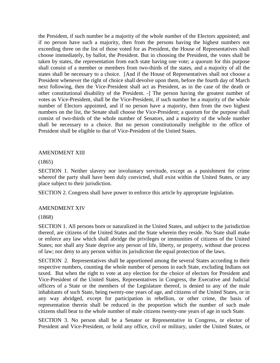the President, if such number be a majority of the whole number of the Electors appointed; and if no person have such a majority, then from the persons having the highest numbers not exceeding three on the list of those voted for as President, the House of Representatives shall choose immediately, by ballot, the President. But in choosing the President, the votes shall be taken by states, the representation from each state having one vote; a quorum for this purpose shall consist of a member or members from two-thirds of the states, and a majority of all the states shall be necessary to a choice. [And if the House of Representatives shall not choose a President whenever the right of choice shall devolve upon them, before the fourth day of March next following, then the Vice-President shall act as President, as in the case of the death or other constitutional disability of the President. -] The person having the greatest number of votes as Vice-President, shall be the Vice-President, if such number be a majority of the whole number of Electors appointed, and if no person have a majority, then from the two highest numbers on the list, the Senate shall choose the Vice-President; a quorum for the purpose shall consist of two-thirds of the whole number of Senators, and a majority of the whole number shall be necessary to a choice. But no person constitutionally ineligible to the office of President shall be eligible to that of Vice-President of the United States.

#### AMENDMENT XIII

(1865)

SECTION 1. Neither slavery nor involuntary servitude, except as a punishment for crime whereof the party shall have been duly convicted, shall exist within the United States, or any place subject to their jurisdiction.

SECTION 2. Congress shall have power to enforce this article by appropriate legislation.

#### AMENDMENT XIV

#### (1868)

SECTION 1. All persons born or naturalized in the United States, and subject to the jurisdiction thereof, are citizens of the United States and the State wherein they reside. No State shall make or enforce any law which shall abridge the privileges or immunities of citizens of the United States; nor shall any State deprive any person of life, liberty, or property, without due process of law; nor deny to any person within its jurisdiction the equal protection of the laws.

SECTION 2. Representatives shall be apportioned among the several States according to their respective numbers, counting the whole number of persons in each State, excluding Indians not taxed. But when the right to vote at any election for the choice of electors for President and Vice-President of the United States, Representatives in Congress, the Executive and Judicial officers of a State or the members of the Legislature thereof, is denied to any of the male inhabitants of such State, being twenty-one years of age, and citizens of the United States, or in any way abridged, except for participation in rebellion, or other crime, the basis of representation therein shall be reduced in the proportion which the number of such male citizens shall bear to the whole number of male citizens twenty-one years of age in such State.

SECTION 3. No person shall be a Senator or Representative in Congress, or elector of President and Vice-President, or hold any office, civil or military, under the United States, or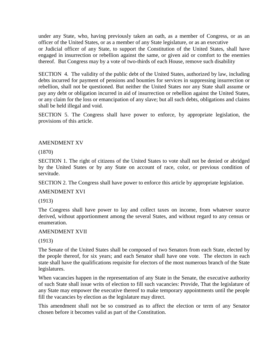under any State, who, having previously taken an oath, as a member of Congress, or as an officer of the United States, or as a member of any State legislature, or as an executive or Judicial officer of any State, to support the Constitution of the United States, shall have engaged in insurrection or rebellion against the same, or given aid or comfort to the enemies thereof. But Congress may by a vote of two-thirds of each House, remove such disability

SECTION 4. The validity of the public debt of the United States, authorized by law, including debts incurred for payment of pensions and bounties for services in suppressing insurrection or rebellion, shall not be questioned. But neither the United States nor any State shall assume or pay any debt or obligation incurred in aid of insurrection or rebellion against the United States, or any claim for the loss or emancipation of any slave; but all such debts, obligations and claims shall be held illegal and void.

SECTION 5. The Congress shall have power to enforce, by appropriate legislation, the provisions of this article.

#### AMENDMENT XV

(1870)

SECTION 1. The right of citizens of the United States to vote shall not be denied or abridged by the United States or by any State on account of race, color, or previous condition of servitude.

SECTION 2. The Congress shall have power to enforce this article by appropriate legislation.

#### AMENDMENT XVI

(1913)

The Congress shall have power to lay and collect taxes on income, from whatever source derived, without apportionment among the several States, and without regard to any census or enumeration.

#### AMENDMENT XVII

(1913)

The Senate of the United States shall be composed of two Senators from each State, elected by the people thereof, for six years; and each Senator shall have one vote. The electors in each state shall have the qualifications requisite for electors of the most numerous branch of the State legislatures.

When vacancies happen in the representation of any State in the Senate, the executive authority of such State shall issue writs of election to fill such vacancies: Provide, That the legislature of any State may empower the executive thereof to make temporary appointments until the people fill the vacancies by election as the legislature may direct.

This amendment shall not be so construed as to affect the election or term of any Senator chosen before it becomes valid as part of the Constitution.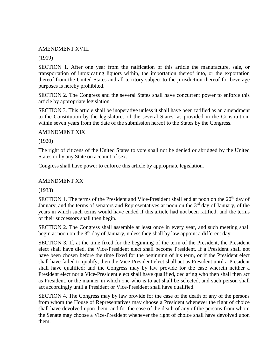#### AMENDMENT XVIII

#### (1919)

SECTION 1. After one year from the ratification of this article the manufacture, sale, or transportation of intoxicating liquors within, the importation thereof into, or the exportation thereof from the United States and all territory subject to the jurisdiction thereof for beverage purposes is hereby prohibited.

SECTION 2. The Congress and the several States shall have concurrent power to enforce this article by appropriate legislation.

SECTION 3. This article shall be inoperative unless it shall have been ratified as an amendment to the Constitution by the legislatures of the several States, as provided in the Constitution, within seven years from the date of the submission hereof to the States by the Congress.

#### AMENDMENT XIX

#### (1920)

The right of citizens of the United States to vote shall not be denied or abridged by the United States or by any State on account of sex.

Congress shall have power to enforce this article by appropriate legislation.

## AMENDMENT XX

# (1933)

SECTION 1. The terms of the President and Vice-President shall end at noon on the  $20<sup>th</sup>$  day of January, and the terms of senators and Representatives at noon on the  $3<sup>rd</sup>$  day of January, of the years in which such terms would have ended if this article had not been ratified; and the terms of their successors shall then begin.

SECTION 2. The Congress shall assemble at least once in every year, and such meeting shall begin at noon on the  $3^{rd}$  day of January, unless they shall by law appoint a different day.

SECTION 3. If, at the time fixed for the beginning of the term of the President, the President elect shall have died, the Vice-President elect shall become President. If a President shall not have been chosen before the time fixed for the beginning of his term, or if the President elect shall have failed to qualify, then the Vice-President elect shall act as President until a President shall have qualified; and the Congress may by law provide for the case wherein neither a President elect nor a Vice-President elect shall have qualified, declaring who then shall then act as President, or the manner in which one who is to act shall be selected, and such person shall act accordingly until a President or Vice-President shall have qualified.

SECTION 4. The Congress may by law provide for the case of the death of any of the persons from whom the House of Representatives may choose a President whenever the right of choice shall have devolved upon them, and for the case of the death of any of the persons from whom the Senate may choose a Vice-President whenever the right of choice shall have devolved upon them.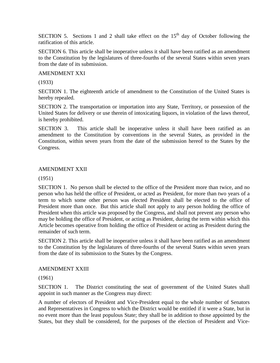SECTION 5. Sections 1 and 2 shall take effect on the  $15<sup>th</sup>$  day of October following the ratification of this article.

SECTION 6. This article shall be inoperative unless it shall have been ratified as an amendment to the Constitution by the legislatures of three-fourths of the several States within seven years from the date of its submission.

## AMENDMENT XXI

(1933)

SECTION 1. The eighteenth article of amendment to the Constitution of the United States is hereby repealed.

SECTION 2. The transportation or importation into any State, Territory, or possession of the United States for delivery or use therein of intoxicating liquors, in violation of the laws thereof, is hereby prohibited.

SECTION 3. This article shall be inoperative unless it shall have been ratified as an amendment to the Constitution by conventions in the several States, as provided in the Constitution, within seven years from the date of the submission hereof to the States by the Congress.

#### AMENDMENT XXII

(1951)

SECTION 1. No person shall be elected to the office of the President more than twice, and no person who has held the office of President, or acted as President, for more than two years of a term to which some other person was elected President shall be elected to the office of President more than once. But this article shall not apply to any person holding the office of President when this article was proposed by the Congress, and shall not prevent any person who may be holding the office of President, or acting as President, during the term within which this Article becomes operative from holding the office of President or acting as President during the remainder of such term.

SECTION 2. This article shall be inoperative unless it shall have been ratified as an amendment to the Constitution by the legislatures of three-fourths of the several States within seven years from the date of its submission to the States by the Congress.

#### AMENDMENT XXIII

(1961)

SECTION 1. The District constituting the seat of government of the United States shall appoint in such manner as the Congress may direct:

A number of electors of President and Vice-President equal to the whole number of Senators and Representatives in Congress to which the District would be entitled if it were a State, but in no event more than the least populous State; they shall be in addition to those appointed by the States, but they shall be considered, for the purposes of the election of President and Vice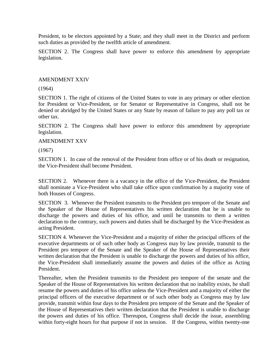President, to be electors appointed by a State; and they shall meet in the District and perform such duties as provided by the twelfth article of amendment.

SECTION 2. The Congress shall have power to enforce this amendment by appropriate legislation.

#### AMENDMENT XXIV

(1964)

SECTION 1. The right of citizens of the United States to vote in any primary or other election for President or Vice-President, or for Senator or Representative in Congress, shall not be denied or abridged by the United States or any State by reason of failure to pay any poll tax or other tax.

SECTION 2. The Congress shall have power to enforce this amendment by appropriate legislation.

#### AMENDMENT XXV

(1967)

SECTION 1. In case of the removal of the President from office or of his death or resignation, the Vice-President shall become President.

SECTION 2. Whenever there is a vacancy in the office of the Vice-President, the President shall nominate a Vice-President who shall take office upon confirmation by a majority vote of both Houses of Congress.

SECTION 3. Whenever the President transmits to the President pro tempore of the Senate and the Speaker of the House of Representatives his written declaration that he is unable to discharge the powers and duties of his office, and until he transmits to them a written declaration to the contrary, such powers and duties shall be discharged by the Vice-President as acting President.

SECTION 4. Whenever the Vice-President and a majority of either the principal officers of the executive departments or of such other body as Congress may by law provide, transmit to the President pro tempore of the Senate and the Speaker of the House of Representatives their written declaration that the President is unable to discharge the powers and duties of his office, the Vice-President shall immediately assume the powers and duties of the office as Acting President.

Thereafter, when the President transmits to the President pro tempore of the senate and the Speaker of the House of Representatives his written declaration that no inability exists, he shall resume the powers and duties of his office unless the Vice-President and a majority of either the principal officers of the executive department or of such other body as Congress may by law provide, transmit within four days to the President pro tempore of the Senate and the Speaker of the House of Representatives their written declaration that the President is unable to discharge the powers and duties of his office. Thereupon, Congress shall decide the issue, assembling within forty-eight hours for that purpose if not in session. If the Congress, within twenty-one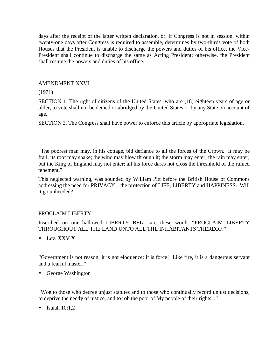days after the receipt of the latter written declaration, or, if Congress is not in session, within twenty-one days after Congress is required to assemble, determines by two-thirds vote of both Houses that the President is unable to discharge the powers and duties of his office, the Vice-President shall continue to discharge the same as Acting President; otherwise, the President shall resume the powers and duties of his office.

## AMENDMENT XXVI

(1971)

SECTION 1. The right of citizens of the United States, who are (18) eighteen years of age or older, to vote shall not be denied or abridged by the United States or by any State on account of age.

SECTION 2. The Congress shall have power to enforce this article by appropriate legislation.

"The poorest man may, in his cottage, bid defiance to all the forces of the Crown. It may be frail, its roof may shake; the wind may blow through it; the storm may enter; the rain may enter; but the King of England may not enter; all his force dares not cross the threshhold of the ruined tenement."

This neglected warning, was sounded by William Pitt before the British House of Commons addressing the need for PRIVACY—the protection of LIFE, LIBERTY and HAPPINESS. Will it go unheeded?

# PROCLAIM LIBERTY!

Inscribed on our hallowed LIBERTY BELL are these words "PROCLAIM LIBERTY THROUGHOUT ALL THE LAND UNTO ALL THE INHABITANTS THEREOF."

• Lev. XXV X

"Government is not reason; it is not eloquence; it is force! Like fire, it is a dangerous servant and a fearful master."

• George Washington

"Woe to those who decree unjust statutes and to those who continually record unjust decisions, to deprive the needy of justice, and to rob the poor of My people of their rights..."

• Isaiah  $10:1,2$